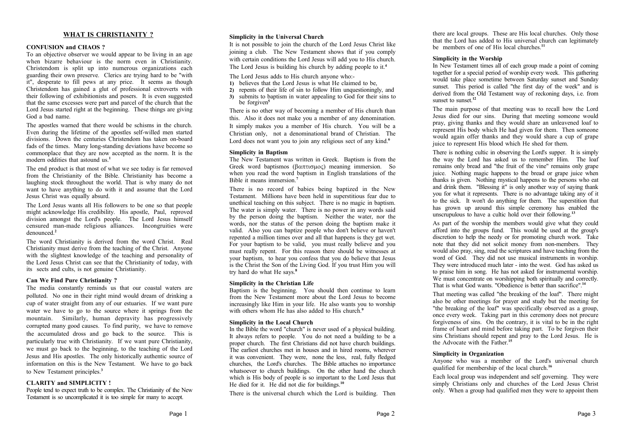## **WHAT IS CHRISTIANITY ?**

#### **CONFUSION and CHAOS ?**

To an objective observer we would appear to be living in an age when bizarre behaviour is the norm even in Christianity. Christendom is split up into numerous organizations each guarding their own preserve. Clerics are trying hard to be "with it", desperate to fill pews at any price. It seems as though Christendom has gained a glut of professional extroverts with their following of exhibitionists and posers. It is even suggested that the same excesses were part and parcel of the church that the Lord Jesus started right at the beginning. These things are giving God a bad name.

The apostles warned that there would be schisms in the church. Even during the lifetime of the apostles self-willed men started divisions. Down the centuries Christendom has taken on-board fads of the times. Many long-standing deviations have become so commonplace that they are now accepted as the norm. It is the modern oddities that astound us.<sup>1</sup>

The end product is that most of what we see today is far removed from the Christianity of the Bible. Christianity has become a laughing stock throughout the world. That is why many do not want to have anything to do with it and assume that the Lord Jesus Christ was equally absurd. 

The Lord Jesus wants all His followers to be one so that people might acknowledge His credibility. His apostle, Paul, reproved division amongst the Lord's people. The Lord Jesus himself censured man-made religious alliances. Incongruities were denounced.**<sup>2</sup>**

The word Christianity is derived from the word Christ. Real Christianity must derive from the teaching of the Christ. Anyone with the slightest knowledge of the teaching and personality of the Lord Jesus Christ can see that the Christianity of today, with its sects and cults, is not genuine Christianity.

#### **Can We Find Pure Christianity ?**

The media constantly reminds us that our coastal waters are polluted. No one in their right mind would dream of drinking a cup of water straight from any of our estuaries. If we want pure water we have to go to the source where it springs from the mountain. Similarly, human depravity has progressively corrupted many good causes. To find purity, we have to remove the accumulated dross and go back to the source. This is particularly true with Christianity. If we want pure Christianity, we must go back to the beginning, to the teaching of the Lord Jesus and His apostles. The only historically authentic source of information on this is the New Testament. We have to go back to New Testament principles.**<sup>3</sup>**

## **CLARITY and SIMPLICITY !**

People tend to expect truth to be complex. The Christianity of the New Testament is so uncomplicated it is too simple for many to accept. 

#### **Simplicity in the Universal Church**

It is not possible to join the church of the Lord Jesus Christ like joining a club. The New Testament shows that if you comply with certain conditions the Lord Jesus will add you to His church. The Lord Jesus is building his church by adding people to it.**<sup>4</sup>**

The Lord Jesus adds to His church anyone who:-

- **1)** believes that the Lord Jesus is what He claimed to be,
- **2)** repents of their life of sin to follow Him unquestioningly, and
- **3)** submits to baptism in water appealing to God for their sins to be forgiven**<sup>5</sup>**

There is no other way of becoming a member of His church than this. Also it does not make you a member of any denomination. It simply makes you a member of His church. You will be a Christian only, not a denominational brand of Christian. The Lord does not want you to join any religious sect of any kind.<sup>6</sup>

## **Simplicity in Baptism**

The New Testament was written in Greek. Baptism is from the Greek word baptismos ( $\beta \alpha \pi \tau \sigma \mu o \varsigma$ ) meaning immersion. So when you read the word baptism in English translations of the Bible it means immersion.**<sup>7</sup>**

There is no record of babies being baptized in the New Testament. Millions have been held in superstitious fear due to unethical teaching on this subject. There is no magic in baptism. The water is simply water. There is no power in any words said by the person doing the baptism. Neither the water, nor the words, nor the status of the person doing the baptism make it valid. Also you can baptize people who don't believe or haven't repented a million times over and all that happens is they get wet. For your baptism to be valid, you must really believe and you must really repent. For this reason there should be witnesses at your baptism, to hear you confess that you do believe that Jesus is the Christ the Son of the Living God. If you trust Him you will try hard do what He says.**<sup>8</sup>**

#### **Simplicity in the Christian Life**

Baptism is the beginning. You should then continue to learn from the New Testament more about the Lord Jesus to become increasingly like Him in your life. He also wants you to worship with others whom He has also added to His church.<sup>9</sup>

#### **Simplicity in the Local Church**

In the Bible the word "church" is never used of a physical building. It always refers to people. You do not need a building to be a proper church. The first Christians did not have church buildings. The earliest churches met in houses and in hired rooms, wherever it was convenient. They were, none the less, real, fully fledged churches, the Lord's churches. The Bible attaches no importance whatsoever to church buildings. On the other hand the church which is His body of people is so important to the Lord Jesus that He died for it. He did not die for buildings.**<sup>10</sup>**

There is the universal church which the Lord is building. Then

there are local groups. These are His local churches. Only those that the Lord has added to His universal church can legitimately be members of one of His local churches.**<sup>11</sup>**

#### **Simplicity in the Worship**

In New Testament times all of each group made a point of coming together for a special period of worship every week. This gathering would take place sometime between Saturday sunset and Sunday sunset. This period is called "the first day of the week" and is derived from the Old Testament way of reckoning days, i.e. from sunset to sunset.<sup>12</sup>

The main purpose of that meeting was to recall how the Lord Jesus died for our sins. During that meeting someone would pray, giving thanks and they would share an unleavened loaf to represent His body which He had given for them. Then someone would again offer thanks and they would share a cup of grape juice to represent His blood which He shed for them.

There is nothing cultic in observing the Lord's supper. It is simply the way the Lord has asked us to remember Him. The loaf remains only bread and "the fruit of the vine" remains only grape juice. Nothing magic happens to the bread or grape juice when thanks is given. Nothing mystical happens to the persons who eat and drink them. "Blessing it" is only another way of saying thank you for what it represents. There is no advantage taking any of it to the sick. It won't do anything for them. The superstition that has grown up around this simple ceremony has enabled the unscrupulous to have a cultic hold over their following.**<sup>13</sup>**

As part of the worship the members would give what they could afford into the groups fund. This would be used at the group's discretion to help the needy or for promoting church work. Take note that they did not solicit money from non-members. They would also pray, sing, read the scriptures and have teaching from the word of God. They did not use musical instruments in worship. They were introduced much later - into the west. God has asked us to praise him in song. He has not asked for instrumental worship. We must concentrate on worshipping both spiritually and correctly. That is what God wants. "Obedience is better than sacrifice".**<sup>14</sup>**

That meeting was called "the breaking of the loaf". There might also be other meetings for prayer and study but the meeting for "the breaking of the loaf" was specifically observed as a group, once every week. Taking part in this ceremony does not procure forgiveness of sins. On the contrary, it is vital to be in the right frame of heart and mind before taking part. To be forgiven their sins Christians should repent and pray to the Lord Jesus. He is the Advocate with the Father.**<sup>15</sup>**

## **Simplicity in Organization**

Anyone who was a member of the Lord's universal church qualified for membership of the local church.**<sup>16</sup>**

Each local group was independent and self governing. They were simply Christians only and churches of the Lord Jesus Christ only. When a group had qualified men they were to appoint them